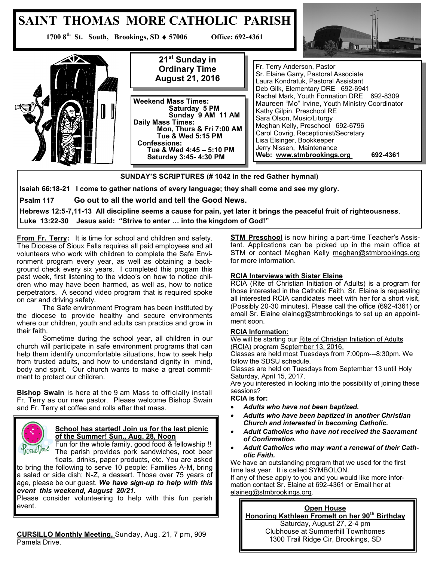

# **SUNDAY'S SCRIPTURES (# 1042 in the red Gather hymnal)**

**Isaiah 66:18-21 I come to gather nations of every language; they shall come and see my glory.**

**Psalm 117 Go out to all the world and tell the Good News.**

**Hebrews 12:5-7,11-13 All discipline seems a cause for pain, yet later it brings the peaceful fruit of righteousness**. **Luke 13:22-30 Jesus said: "Strive to enter … into the kingdom of God!"**

**From Fr. Terry:** It is time for school and children and safety. The Diocese of Sioux Falls requires all paid employees and all volunteers who work with children to complete the Safe Environment program every year, as well as obtaining a background check every six years. I completed this progam this past week, first listening to the video's on how to notice children who may have been harmed, as well as, how to notice perpetrators. A second video program that is required spoke on car and driving safety.

The Safe environment Program has been instituted by the diocese to provide healthy and secure environments where our children, youth and adults can practice and grow in their faith.

Sometime during the school year, all children in our church will participate in safe environment programs that can help them identify uncomfortable situations, how to seek help from trusted adults, and how to understand dignity in mind, body and spirit. Our church wants to make a great commitment to protect our children.

**Bishop Swain** is here at the 9 am Mass to officially install Fr. Terry as our new pastor. Please welcome Bishop Swain and Fr. Terry at coffee and rolls after that mass.



# **School has started! Join us for the last picnic of the Summer! Sun., Aug. 28, Noon**

Fun for the whole family, good food & fellowship !! The parish provides pork sandwiches, root beer floats, drinks, paper products, etc. You are asked

to bring the following to serve 10 people: Families A-M, bring a salad or side dish; N-Z, a dessert. Those over 75 years of age, please be our guest. *We have sign-up to help with this event this weekend, August 20/21.* 

Please consider volunteering to help with this fun parish event.

**CURSILLO Monthly Meeting,** Sunday, Aug. 21, 7 pm, 909 Pamela Drive.

**STM Preschool** is now hiring a part-time Teacher's Assistant. Applications can be picked up in the main office at STM or contact Meghan Kelly [meghan@stmbrookings.org](mailto:meghan@stmbrookings.org) for more information.

### **RCIA Interviews with Sister Elaine**

RCIA (Rite of Christian Initiation of Adults) is a program for those interested in the Catholic Faith. Sr. Elaine is requesting all interested RCIA candidates meet with her for a short visit, (Possibly 20-30 minutes). Please call the office (692-4361) or email Sr. Elaine elaineg@stmbrookings to set up an appointment soon.

#### **RCIA Information:**

We will be starting our Rite of Christian Initiation of Adults (RCIA) program September 13, 2016.

Classes are held most Tuesdays from 7:00pm---8:30pm. We follow the SDSU schedule.

Classes are held on Tuesdays from September 13 until Holy Saturday, April 15, 2017.

Are you interested in looking into the possibility of joining these sessions?

**RCIA is for:**

- *Adults who have not been baptized.*
- *Adults who have been baptized in another Christian Church and interested in becoming Catholic.*
- *Adult Catholics who have not received the Sacrament of Confirmation.*
- *Adult Catholics who may want a renewal of their Catholic Faith.*

We have an outstanding program that we used for the first time last year. It is called SYMBOLON. If any of these apply to you and you would like more infor-

mation contact Sr. Elaine at 692-4361 or Email her at [elaineg@stmbrookings.org.](mailto:elaineg@stmbrookings.org)

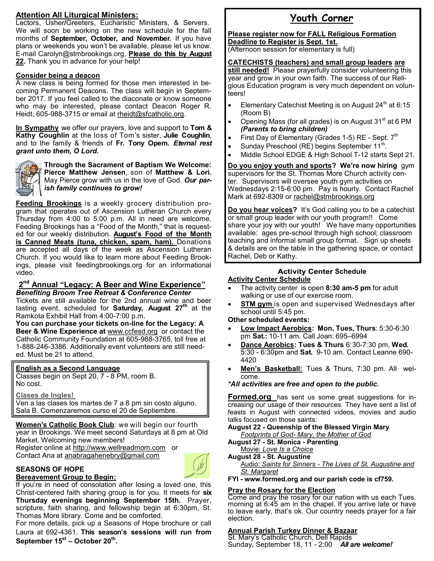# **Attention All Liturgical Ministers:**

Lectors, Usher**/**Greeters, Eucharistic Ministers, & Servers. We will soon be working on the new schedule for the fall months of **September, October, and November.** If you have plans or weekends you won't be available, please let us know. E-mail Carolyn@stmbrookings.org, **Please do this by August 22.** Thank you in advance for your help!

### **Consider being a deacon**

A new class is being formed for those men interested in becoming Permanent Deacons. The class will begin in September 2017. If you feel called to the diaconate or know someone who may be interested, please contact Deacon Roger R. Heidt, 605-988-3715 or email at [rheidt@sfcatholic.org.](mailto:rheidt@sfcatholic.org)

**In Sympathy** we offer our prayers, love and support to **Tom & Kathy Coughlin** at the loss of Tom's sister, **Julie Coughlin**, and to the family & friends of **Fr. Tony Opem.** *Eternal rest grant unto them, O Lord.* 



**Through the Sacrament of Baptism We Welcome: Pierce Matthew Jensen**, son of **Matthew & Lori.**  May Pierce grow with us in the love of God. *Our parish family continues to grow!* 

**Feeding Brookings** is a weekly grocery distribution program that operates out of Ascension Lutheran Church every Thursday from 4:00 to 5:00 p.m. All in need are welcome. Feeding Brookings has a "Food of the Month," that is requested for our weekly distribution. **August's Food of the Month is Canned Meats (tuna, chicken, spam, ham).** Donations are accepted all days of the week as Ascension Lutheran Church. If you would like to learn more about Feeding Brookings, please visit feedingbrookings.org for an informational video.

# **2 nd Annual "Legacy: A Beer and Wine Experience"**

*Benefiting Broom Tree Retreat & Conference Center* Tickets are still available for the 2nd annual wine and beer tasting event, scheduled for **Saturday, August 27th** at the Ramkota Exhibit Hall from 4:00-7:00 p.m.

**You can purchase your tickets on-line for the Legacy: A Beer & Wine Experience at** [www.ccfesd.org](http://www.ccfesd.org) or contact the Catholic Community Foundation at 605-988-3765, toll free at 1-888-246-3386. Additionally event volunteers are still needed. Must be 21 to attend.

# **English as a Second Language**

Classes begin on Sept 20, 7 - 8 PM, room B. No cost.

**Clases de Ingles!**

Ven a las clases los martes de 7 a 8 pm sin costo alguno. Sala B. Comenzaremos curso el 20 de Septiembre.

**Women's Catholic Book Club**: we will begin our fourth year in Brookings. We meet second Saturdays at 8 pm at Old Market. Welcoming new members!

Register online at [http://www.wellreadmom.com or](http://www.wellreadmom.com/) Contact Ana at [anabragahenebry@gmail.com](mailto:anabragahenebry@gmail.com)



#### **SEASONS OF HOPE Bereavement Group to Begin:**

If you're in need of consolation after losing a loved one, this Christ-centered faith sharing group is for you. It meets for **six Thursday evenings beginning September 15th.** Prayer, scripture, faith sharing, and fellowship begin at 6:30pm, St. Thomas More library. Come and be comforted.

For more details, pick up a Seasons of Hope brochure or call Laura at 692-4361. **This season's sessions will run from September 15st – October 20th .** 

# **Youth Corner**

#### **Please register now for FALL Religious Formation Deadline to Register is Sept. 1st.**

(Afternoon session for elementary is full)

# **CATECHISTS (teachers) and small group leaders are**

**still needed!** Please prayerfully consider volunteering this year and grow in your own faith. The success of our Religious Education program is very much dependent on volunteers!

- Elementary Catechist Meeting is on August  $24<sup>th</sup>$  at 6:15 (Room B)
- Opening Mass (for all grades) is on August  $31<sup>st</sup>$  at 6 PM *(Parents to bring children)*
- First Day of Elementary (Grades 1-5) RE Sept. 7<sup>th</sup>
- Sunday Preschool (RE) begins September  $11<sup>th</sup>$ .
- Middle School EDGE & High School T-12 starts Sept 21.

#### **Do you enjoy youth and sports? We're now hiring** gym supervisors for the St. Thomas More Church activity center. Supervisors will oversee youth gym activities on Wednesdays 2:15-6:00 pm. Pay is hourly. Contact Rachel Mark at 692-8309 or [rachel@stmbrookings.org](mailto:rachel@stmbrookings.org)

**Do you hear voices?** It's God calling you to be a catechist or small group leader with our youth program!! Come share your joy with our youth! We have many opportunities available: ages pre-school through high school; classroom teaching and informal small group format. Sign up sheets & details are on the table in the gathering space, or contact Rachel, Deb or Kathy.

#### **Activity Center Schedule Activity Center Schedule**

- The activity center is open **8:30 am-5 pm** for adult walking or use of our exercise room.
- **STM gym** is open and supervised Wednesdays after school until 5:45 pm.

#### **Other scheduled events:**

- **Low Impact Aerobics: Mon, Tues, Thurs**: 5:30-6:30 pm **Sat.:** 10-11 am. Call Joan: 695–6994
- **Dance Aerobics: Tues & Thurs** 6:30-7:30 pm, **Wed.**  5:30 - 6:30pm and **Sat.** 9-10 am. Contact Leanne 690- 4420
- **Men's Basketball:** Tues & Thurs, 7:30 pm. All welcome.

#### *\*All activities are free and open to the public.*

**Formed.org** has sent us some great suggestions for increasing our usage of their resources. They have sent a list of feasts in August with connected videos, movies and audio talks focused on those saints:

**August 22 - Queenship of the Blessed Virgin Mary** *Footprints of God- [Mary, the Mother of God](http://augustineinstitute.us1.list-manage.com/track/click?u=896fa68936f7558b22f7be5ba&id=f526892c13&e=69769a3e37)*

- **August 27 - St. Monica - Parenting**
- Movie: *[Love Is a Choice](http://augustineinstitute.us1.list-manage.com/track/click?u=896fa68936f7558b22f7be5ba&id=bc60a6c425&e=69769a3e37)* **August 28 - St. Augustine**
- Audio: *Saints for Sinners - [The Lives of St. Augustine and](http://augustineinstitute.us1.list-manage.com/track/click?u=896fa68936f7558b22f7be5ba&id=6bb0ef6fca&e=69769a3e37)  [St. Margaret](http://augustineinstitute.us1.list-manage.com/track/click?u=896fa68936f7558b22f7be5ba&id=6bb0ef6fca&e=69769a3e37)*
- **FYI - www.formed.org and our parish code is cf759.**

# **Pray the Rosary for the Election**

Come and pray the rosary for our nation with us each Tues. morning at 6:45 am in the chapel. If you arrive late or have to leave early, that's ok. Our country needs prayer for a fair election.

#### **Annual Parish Turkey Dinner & Bazaar**

St. Mary's Catholic Church, Dell Rapids Sunday, September 18, 11 - 2:00 *All are welcome!*